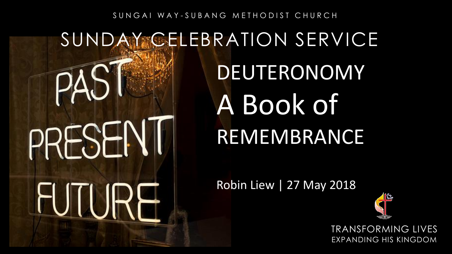#### SUNGAI WAY-SUBANG METHODIST CHURCH

#### SUNDAY CELEBRATION SERVICE DEUTERONOMY ΡΔ A Book of PRESENI REMEMBRANCE Robin Liew | 27 May 2018 HJTI IR

TRANSFORMING LIVES EXPANDING HIS KINGDOM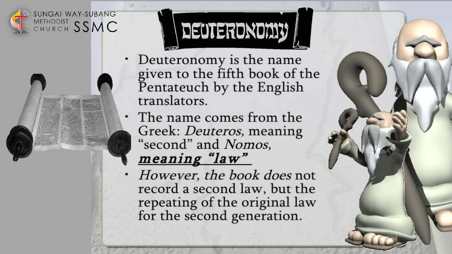



- Deuteronomy is the name given to the fifth book of the Pentateuch by the English translators.
- The name comes from the Greek: *Deuteros*, meaning "second" and Nomos, meaning "law"
- However, the book does not record a second law, but the repeating of the original law for the second generation.

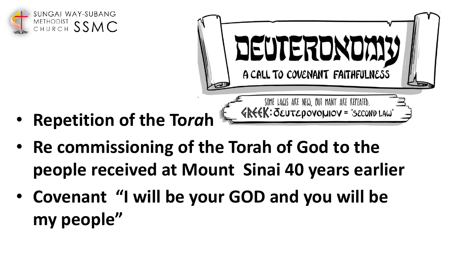



- **Repetition of the To***ra***h**
- **Re commissioning of the Torah of God to the people received at Mount Sinai 40 years earlier**
- **Covenant "I will be your GOD and you will be my people"**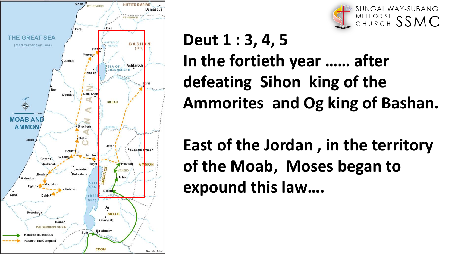



#### **Deut 1 : 3, 4, 5 In the fortieth year …… after defeating Sihon king of the Ammorites and Og king of Bashan.**

**East of the Jordan , in the territory of the Moab, Moses began to expound this law….**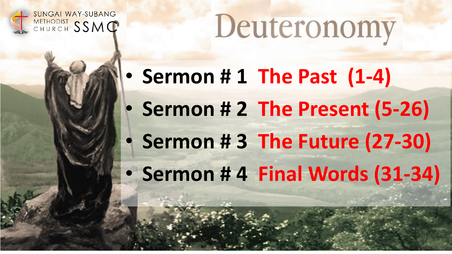

**SUNGAI WAY-SUBANG** CHURCH SSMC

• **Sermon # 1 The Past (1-4)** • **Sermon # 2 The Present (5-26)** • **Sermon # 3 The Future (27-30)** • **Sermon # 4 Final Words (31-34)**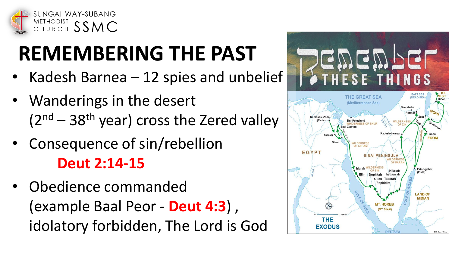

### **REMEMBERING THE PAST**

- Kadesh Barnea  $-12$  spies and unbelief
- Wanderings in the desert  $(2<sup>nd</sup> – 38<sup>th</sup>$  year) cross the Zered valley
- Consequence of sin/rebellion **Deut 2:14-15**
- Obedience commanded (example Baal Peor - **Deut 4:3**) , idolatory forbidden, The Lord is God

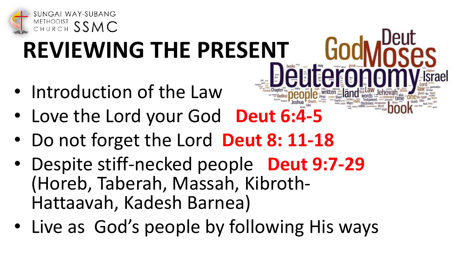

# **REVIEWING THE PRESENT**

- Introduction of the Law
- Love the Lord your God **Deut 6:4-5**
- Do not forget the Lord **Deut 8: 11-18**
- Despite stiff-necked people **Deut 9:7-29**  (Horeb, Taberah, Massah, Kibroth-Hattaavah, Kadesh Barnea)
- Live as God's people by following His ways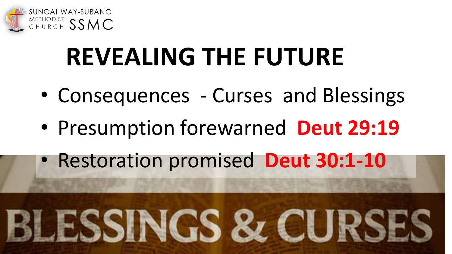

### **REVEALING THE FUTURE**

- Consequences Curses and Blessings
- Presumption forewarned **Deut 29:19**
- Restoration promised **Deut 30:1-10**

# **ISSINGS & CUR**